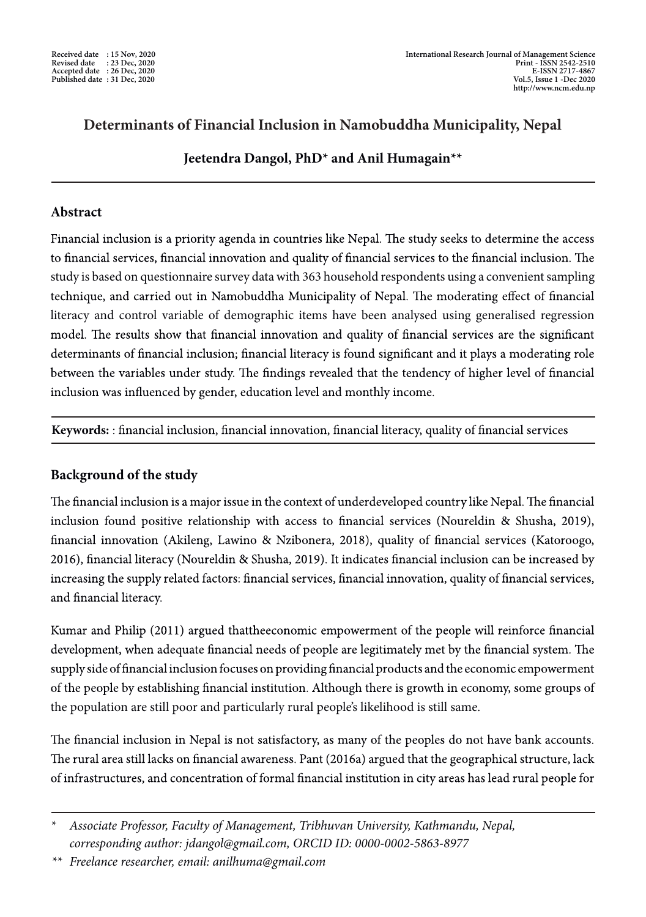# **Determinants of Financial Inclusion in Namobuddha Municipality, Nepal**

# **Jeetendra Dangol, PhD\* and Anil Humagain\*\***

## **Abstract**

Financial inclusion is a priority agenda in countries like Nepal. The study seeks to determine the access to financial services, financial innovation and quality of financial services to the financial inclusion. The study is based on questionnaire survey datawith 363 household respondents using a convenientsampling technique, and carried out in Namobuddha Municipality of Nepal. The moderating effect of financial literacy and control variable of demographic items have been analysed using generalised regression model. The results show that financial innovation and quality of financial services are the significant determinants of financial inclusion; financial literacy is found significant and it plays a moderating role between the variables under study. The findings revealed that the tendency of higher level of financial inclusion was influenced by gender, education level and monthly income.

**Keywords:**: financial inclusion, financial innovation, financial literacy, quality of financial services

# **Background of the study**

The financial inclusion is a major issue in the context of underdeveloped country like Nepal. The financial inclusion found positive relationship with access to financial services (Noureldin & Shusha, 2019), financial innovation (Akileng, Lawino & Nzibonera, 2018), quality of financial services (Katoroogo, 2016), financial literacy (Noureldin & Shusha, 2019). It indicates financial inclusion can be increased by increasing the supply related factors: financial services, financial innovation, quality of financial services, and financial literacy.

Kumar and Philip (2011) argued that the economic empowerment of the people will reinforce financial development, when adequate financial needs of people are legitimately met by the financial system. The supply side of financial inclusion focuses on providing financial products and the economic empowerment of the people by establishing financial institution. Although there is growth in economy, some groups of the population are still poor and particularly rural people's likelihood is still same.

The financial inclusion in Nepal is not satisfactory, as many of the peoples do not have bank accounts. The rural area still lacks on financial awareness. Pant (2016a) argued that the geographical structure, lack of infrastructures, and concentration of formal financial institution in city areas has lead rural people for

*\*\* Freelance researcher, email: anilhuma@gmail.com*

<sup>\*</sup> *Associate Professor, Faculty of Management, Tribhuvan University, Kathmandu, Nepal, corresponding author: jdangol@gmail.com, ORCID ID: 0000-0002-5863-8977*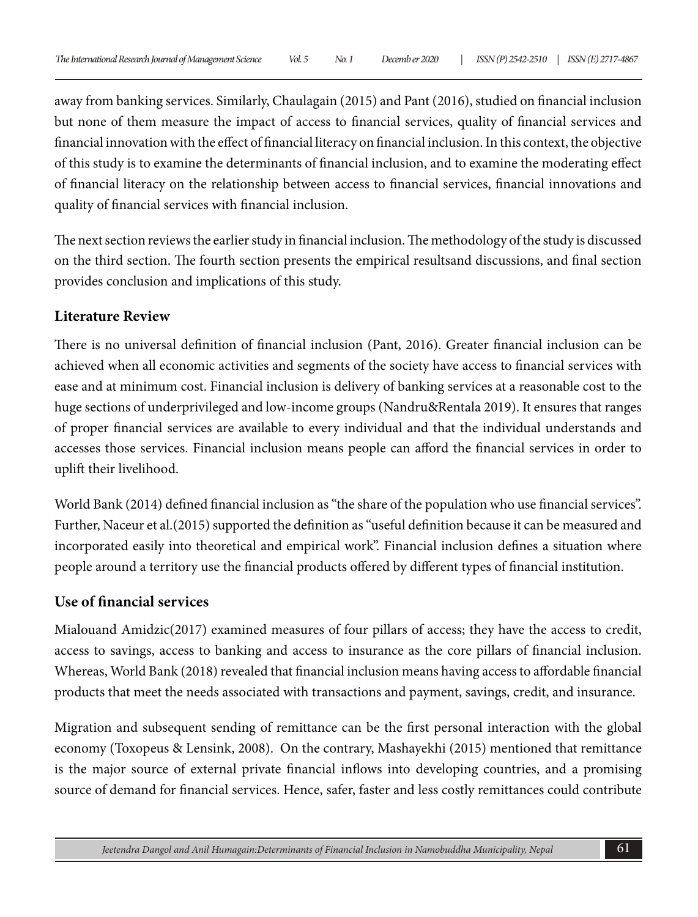away from banking services. Similarly, Chaulagain (2015) and Pant (2016), studied on financial inclusion but none of them measure the impact of access to financial services, quality of financial services and financial innovation with the effect of financial literacy on financial inclusion. In this context, the objective of this study is to examine the determinants of financial inclusion, and to examine the moderating effect of financial literacy on the relationship between access to financial services, financial innovations and quality of financial services with financial inclusion.

The next section reviews the earlier study in financial inclusion. The methodology of the study is discussed on the third section. The fourth section presents the empirical resultsand discussions, and final section provides conclusion and implications of this study.

## **Literature Review**

There is no universal definition of financial inclusion (Pant, 2016). Greater financial inclusion can be achieved when all economic activities and segments of the society have access to financial services with ease and at minimum cost. Financial inclusion is delivery of banking services at a reasonable cost to the huge sections of underprivileged and low-income groups (Nandru&Rentala 2019). It ensures that ranges of proper financial services are available to every individual and that the individual understands and accesses those services. Financial inclusion means people can afford the financial services in order to uplift their livelihood.

World Bank (2014) defined financial inclusion as "the share of the population who use financial services". Further, Naceur et al.(2015) supported the definition as "useful definition because it can be measured and incorporated easily into theoretical and empirical work". Financial inclusion defines a situation where people around a territory use the financial products offered by different types of financial institution.

## **Use of financial services**

Mialouand Amidzic(2017) examined measures of four pillars of access; they have the access to credit, access to savings, access to banking and access to insurance as the core pillars of financial inclusion. Whereas, World Bank (2018) revealed that financial inclusion means having access to affordable financial products that meet the needs associated with transactions and payment, savings, credit, and insurance.

Migration and subsequent sending of remittance can be the first personal interaction with the global economy (Toxopeus & Lensink, 2008). On the contrary, Mashayekhi (2015) mentioned that remittance is the major source of external private financial inflows into developing countries, and a promising source of demand for financial services. Hence, safer, faster and less costly remittances could contribute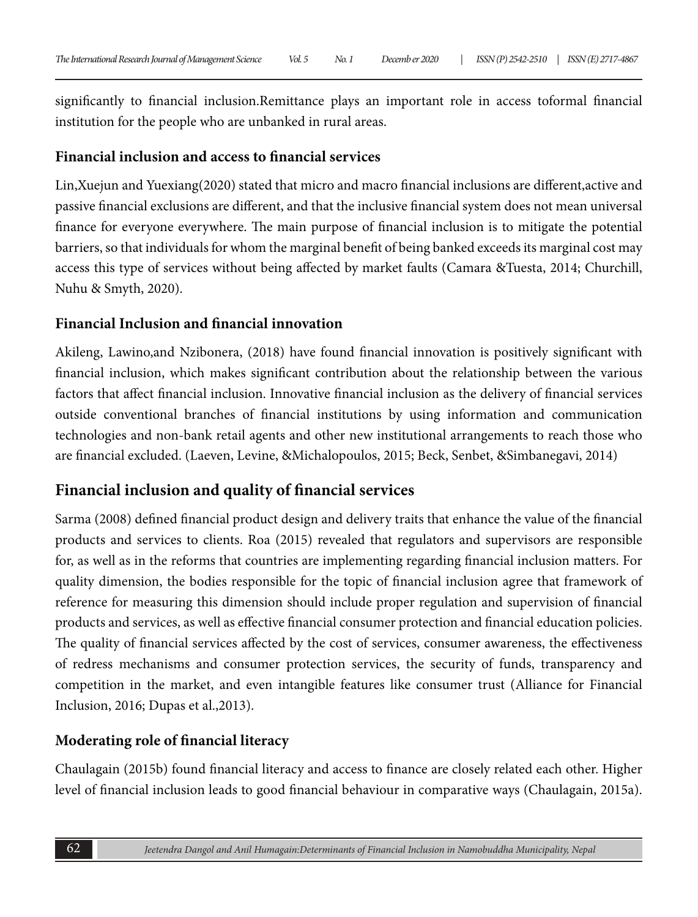significantly to financial inclusion.Remittance plays an important role in access toformal financial institution for the people who are unbanked in rural areas.

## **Financial inclusion and access to financial services**

Lin,Xuejun and Yuexiang(2020) stated that micro and macro financial inclusions are different,active and passive financial exclusions are different, and that the inclusive financial system does not mean universal finance for everyone everywhere. The main purpose of financial inclusion is to mitigate the potential barriers, so that individuals for whom the marginal benefit of being banked exceeds its marginal cost may access this type of services without being affected by market faults (Camara &Tuesta, 2014; Churchill, Nuhu & Smyth, 2020).

# **Financial Inclusion and financial innovation**

Akileng, Lawino,and Nzibonera, (2018) have found financial innovation is positively significant with financial inclusion, which makes significant contribution about the relationship between the various factors that affect financial inclusion. Innovative financial inclusion as the delivery of financial services outside conventional branches of financial institutions by using information and communication technologies and non-bank retail agents and other new institutional arrangements to reach those who are financial excluded. (Laeven, Levine, &Michalopoulos, 2015; Beck, Senbet, &Simbanegavi, 2014)

# **Financial inclusion and quality of financial services**

Sarma (2008) defined financial product design and delivery traits that enhance the value of the financial products and services to clients. Roa (2015) revealed that regulators and supervisors are responsible for, as well as in the reforms that countries are implementing regarding financial inclusion matters. For quality dimension, the bodies responsible for the topic of financial inclusion agree that framework of reference for measuring this dimension should include proper regulation and supervision of financial products and services, as well as effective financial consumer protection and financial education policies. The quality of financial services affected by the cost of services, consumer awareness, the effectiveness of redress mechanisms and consumer protection services, the security of funds, transparency and competition in the market, and even intangible features like consumer trust (Alliance for Financial Inclusion, 2016; Dupas et al.,2013).

# **Moderating role of financial literacy**

Chaulagain (2015b) found financial literacy and access to finance are closely related each other. Higher level of financial inclusion leads to good financial behaviour in comparative ways (Chaulagain, 2015a).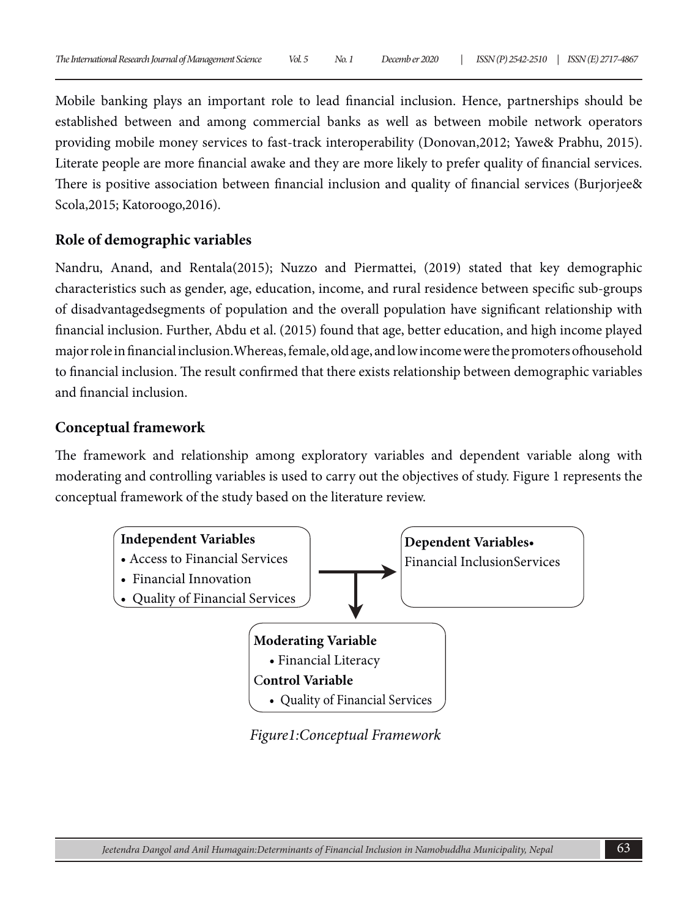Mobile banking plays an important role to lead financial inclusion. Hence, partnerships should be established between and among commercial banks as well as between mobile network operators providing mobile money services to fast-track interoperability (Donovan,2012; Yawe& Prabhu, 2015). Literate people are more financial awake and they are more likely to prefer quality of financial services. There is positive association between financial inclusion and quality of financial services (Burjorjee& Scola,2015; Katoroogo,2016).

#### **Role of demographic variables**

Nandru, Anand, and Rentala(2015); Nuzzo and Piermattei, (2019) stated that key demographic characteristics such as gender, age, education, income, and rural residence between specific sub-groups of disadvantagedsegments of population and the overall population have significant relationship with financial inclusion. Further, Abdu et al. (2015) found that age, better education, and high income played major role in financial inclusion.Whereas, female, old age, and low income were the promoters ofhousehold to financial inclusion. The result confirmed that there exists relationship between demographic variables and financial inclusion.

#### **Conceptual framework**

The framework and relationship among exploratory variables and dependent variable along with moderating and controlling variables is used to carry out the objectives of study. Figure 1 represents the conceptual framework of the study based on the literature review.



*Figure1:Conceptual Framework*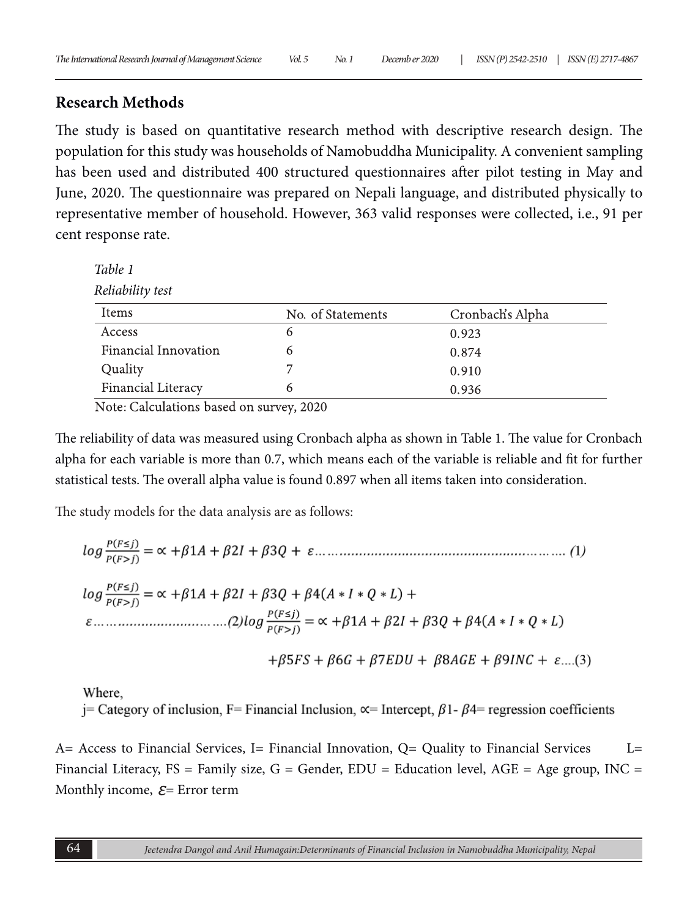#### **Research Methods**

The study is based on quantitative research method with descriptive research design. The population for this study was households of Namobuddha Municipality. A convenient sampling has been used and distributed 400 structured questionnaires after pilot testing in May and June, 2020. The questionnaire was prepared on Nepali language, and distributed physically to representative member of household. However, 363 valid responses were collected, i.e., 91 per cent response rate.

| Table 1              |                   |                  |  |  |  |  |  |  |
|----------------------|-------------------|------------------|--|--|--|--|--|--|
| Reliability test     |                   |                  |  |  |  |  |  |  |
| Items                | No. of Statements | Cronbach's Alpha |  |  |  |  |  |  |
| Access               | 6                 | 0.923            |  |  |  |  |  |  |
| Financial Innovation | 6                 | 0.874            |  |  |  |  |  |  |
| Quality              |                   | 0.910            |  |  |  |  |  |  |
| Financial Literacy   | 6                 | 0.936            |  |  |  |  |  |  |

Note: Calculations based on survey, 2020

The reliability of data was measured using Cronbach alpha as shown in Table 1. The value for Cronbach alpha for each variable is more than 0.7, which means each of the variable is reliable and fit for further statistical tests. The overall alpha value is found 0.897 when all items taken into consideration.

The study models for the data analysis are as follows:

Where.

j = Category of inclusion, F = Financial Inclusion,  $\propto$  = Intercept,  $\beta$ 1- $\beta$ 4 = regression coefficients

A= Access to Financial Services, I= Financial Innovation, Q= Quality to Financial Services L= Financial Literacy,  $FS = Family size$ ,  $G = Gender$ ,  $EDU = Education level$ ,  $AGE = Age$  group,  $INC =$ Monthly income,  $E =$  Error term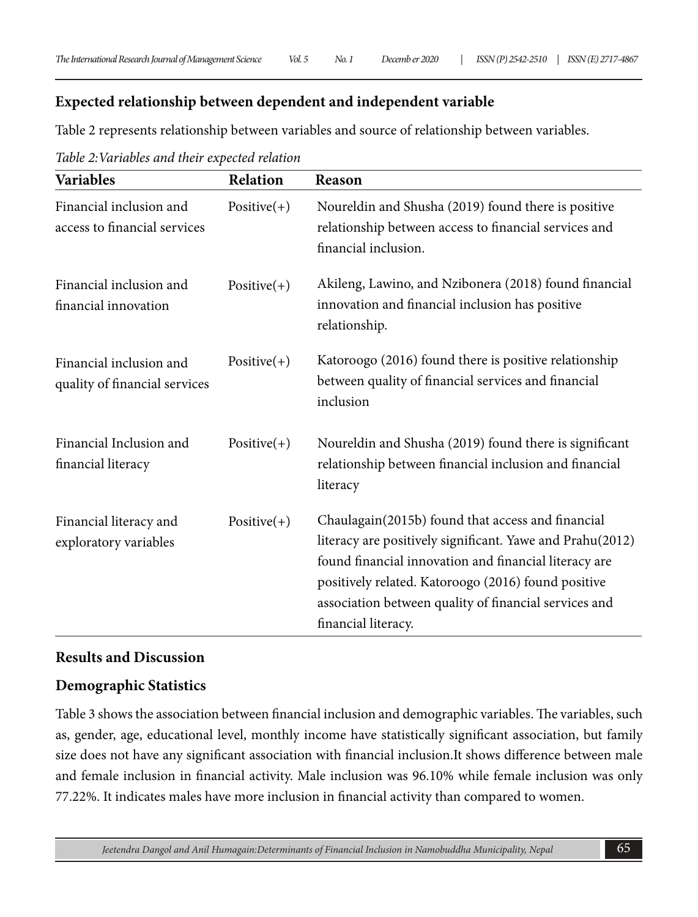#### **Expected relationship between dependent and independent variable**

Table 2 represents relationship between variables and source of relationship between variables.

| <b>Variables</b>                                         | Relation      | Reason                                                                                                                                                                                                                                                                                                         |
|----------------------------------------------------------|---------------|----------------------------------------------------------------------------------------------------------------------------------------------------------------------------------------------------------------------------------------------------------------------------------------------------------------|
| Financial inclusion and<br>access to financial services  | $Positive(+)$ | Noureldin and Shusha (2019) found there is positive<br>relationship between access to financial services and<br>financial inclusion.                                                                                                                                                                           |
| Financial inclusion and<br>financial innovation          | $Positive(+)$ | Akileng, Lawino, and Nzibonera (2018) found financial<br>innovation and financial inclusion has positive<br>relationship.                                                                                                                                                                                      |
| Financial inclusion and<br>quality of financial services | $Positive(+)$ | Katoroogo (2016) found there is positive relationship<br>between quality of financial services and financial<br>inclusion                                                                                                                                                                                      |
| Financial Inclusion and<br>financial literacy            | $Positive(+)$ | Noureldin and Shusha (2019) found there is significant<br>relationship between financial inclusion and financial<br>literacy                                                                                                                                                                                   |
| Financial literacy and<br>exploratory variables          | $Positive(+)$ | Chaulagain(2015b) found that access and financial<br>literacy are positively significant. Yawe and Prahu(2012)<br>found financial innovation and financial literacy are<br>positively related. Katoroogo (2016) found positive<br>association between quality of financial services and<br>financial literacy. |

*Table 2:Variables and their expected relation*

#### **Results and Discussion**

## **Demographic Statistics**

Table 3 shows the association between financial inclusion and demographic variables. The variables, such as, gender, age, educational level, monthly income have statistically significant association, but family size does not have any significant association with financial inclusion.It shows difference between male and female inclusion in financial activity. Male inclusion was 96.10% while female inclusion was only 77.22%. It indicates males have more inclusion in financial activity than compared to women.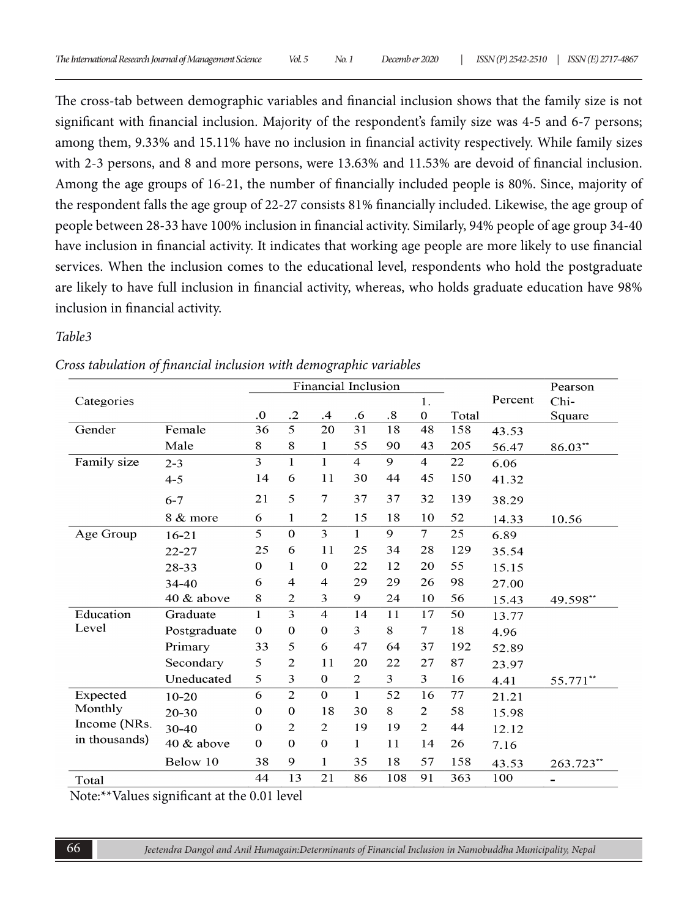The cross-tab between demographic variables and financial inclusion shows that the family size is not significant with financial inclusion. Majority of the respondent's family size was 4-5 and 6-7 persons; among them, 9.33% and 15.11% have no inclusion in financial activity respectively. While family sizes with 2-3 persons, and 8 and more persons, were 13.63% and 11.53% are devoid of financial inclusion. Among the age groups of 16-21, the number of financially included people is 80%. Since, majority of the respondent falls the age group of 22-27 consists 81% financially included. Likewise, the age group of people between 28-33 have 100% inclusion in financial activity. Similarly, 94% people of age group 34-40 have inclusion in financial activity. It indicates that working age people are more likely to use financial services. When the inclusion comes to the educational level, respondents who hold the postgraduate are likely to have full inclusion in financial activity, whereas, who holds graduate education have 98% inclusion in financial activity.

#### *Table3*

|                                          |              |                |                | Financial Inclusion |                |                   |                  |       |         | Pearson   |
|------------------------------------------|--------------|----------------|----------------|---------------------|----------------|-------------------|------------------|-------|---------|-----------|
| Categories                               |              |                |                |                     |                |                   | 1.               |       | Percent | Chi-      |
|                                          |              | $\overline{0}$ | $\cdot$ .2     | $\cdot$             | .6             | $\boldsymbol{.8}$ | $\boldsymbol{0}$ | Total |         | Square    |
| Gender                                   | Female       | 36             | 5              | 20                  | 31             | 18                | 48               | 158   | 43.53   |           |
|                                          | Male         | 8              | 8              | 1                   | 55             | 90                | 43               | 205   | 56.47   | $86.03**$ |
| Family size                              | $2 - 3$      | 3              | $\mathbf{1}$   | $\mathbf{1}$        | $\overline{4}$ | $\mathbf Q$       | $\overline{4}$   | 22    | 6.06    |           |
|                                          | $4 - 5$      | 14             | 6              | 11                  | 30             | 44                | 45               | 150   | 41.32   |           |
|                                          | $6 - 7$      | 21             | 5              | 7                   | 37             | 37                | 32               | 139   | 38.29   |           |
|                                          | 8 & more     | 6              | 1              | $\mathbf{2}$        | 15             | 18                | 10               | 52    | 14.33   | 10.56     |
| Age Group                                | $16 - 21$    | 5              | $\overline{0}$ | $\overline{3}$      | $\mathbf{1}$   | 9                 | $\overline{7}$   | 25    | 6.89    |           |
|                                          | $22 - 27$    | 25             | 6              | 11                  | 25             | 34                | 28               | 129   | 35.54   |           |
|                                          | 28-33        | $\mathbf{0}$   | 1              | $\boldsymbol{0}$    | 22             | 12                | 20               | 55    | 15.15   |           |
|                                          | $34 - 40$    | 6              | $\overline{4}$ | 4                   | 29             | 29                | 26               | 98    | 27.00   |           |
|                                          | 40 & above   | 8              | $\overline{2}$ | 3                   | 9              | 24                | 10               | 56    | 15.43   | 49.598**  |
| Education                                | Graduate     | 1              | 3              | $\overline{4}$      | 14             | 11                | 17               | 50    | 13.77   |           |
| Level                                    | Postgraduate | $\mathbf{0}$   | $\mathbf{0}$   | $\boldsymbol{0}$    | 3              | 8                 | 7                | 18    | 4.96    |           |
|                                          | Primary      | 33             | 5              | 6                   | 47             | 64                | 37               | 192   | 52.89   |           |
|                                          | Secondary    | 5              | $\overline{2}$ | 11                  | 20             | 22                | 27               | 87    | 23.97   |           |
|                                          | Uneducated   | 5              | 3              | $\mathbf 0$         | $\overline{c}$ | 3                 | 3                | 16    | 4.41    | 55.771**  |
| Expected                                 | $10 - 20$    | 6              | $\overline{2}$ | $\mathbf{O}$        | $\mathbf{1}$   | 52                | 16               | 77    | 21.21   |           |
| Monthly<br>Income (NRs.<br>in thousands) | 20-30        | $\mathbf 0$    | $\bf{0}$       | 18                  | 30             | 8                 | 2                | 58    | 15.98   |           |
|                                          | 30-40        | $\mathbf 0$    | 2              | 2                   | 19             | 19                | 2                | 44    | 12.12   |           |
|                                          | 40 & above   | $\mathbf{0}$   | $\mathbf{0}$   | $\boldsymbol{0}$    | 1              | 11                | 14               | 26    | 7.16    |           |
|                                          | Below 10     | 38             | 9              | $\mathbf{1}$        | 35             | 18                | 57               | 158   | 43.53   | 263.723*  |
| Total                                    |              | 44             | 13             | 21                  | 86             | 108               | 91               | 363   | 100     |           |

*Cross tabulation of financial inclusion with demographic variables*

Note:\*\*Values significant at the 0.01 level

66 *Jeetendra Dangol and Anil Humagain:Determinants of Financial Inclusion in Namobuddha Municipality, Nepal*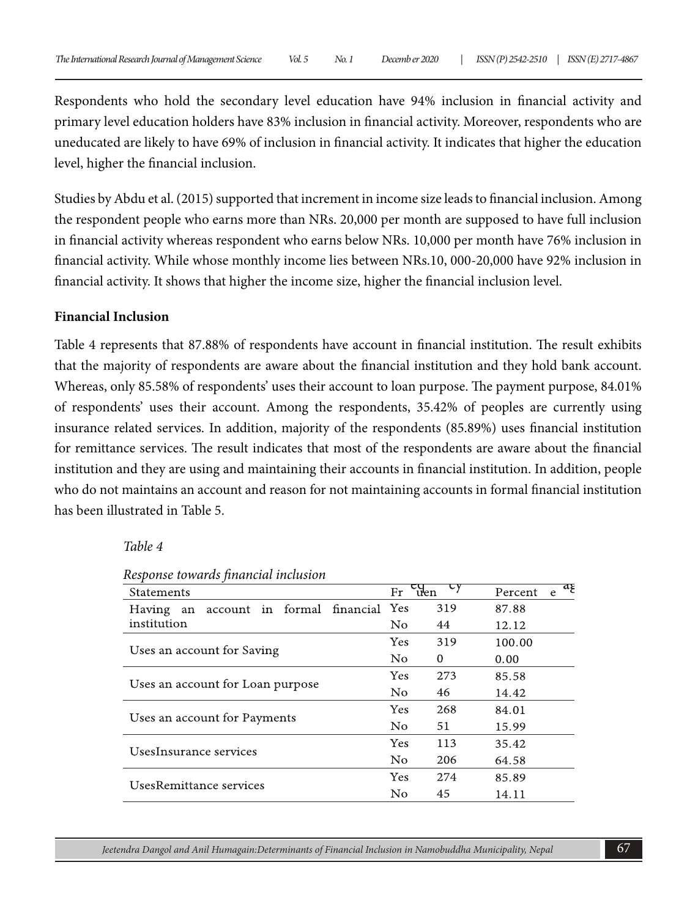Respondents who hold the secondary level education have 94% inclusion in financial activity and primary level education holders have 83% inclusion in financial activity. Moreover, respondents who are uneducated are likely to have 69% of inclusion in financial activity. It indicates that higher the education level, higher the financial inclusion.

Studies by Abdu et al. (2015) supported that increment in income size leads to financial inclusion. Among the respondent people who earns more than NRs. 20,000 per month are supposed to have full inclusion in financial activity whereas respondent who earns below NRs. 10,000 per month have 76% inclusion in financial activity. While whose monthly income lies between NRs.10, 000-20,000 have 92% inclusion in financial activity. It shows that higher the income size, higher the financial inclusion level.

#### **Financial Inclusion**

Table 4 represents that 87.88% of respondents have account in financial institution. The result exhibits that the majority of respondents are aware about the financial institution and they hold bank account. Whereas, only 85.58% of respondents' uses their account to loan purpose. The payment purpose, 84.01% of respondents' uses their account. Among the respondents, 35.42% of peoples are currently using insurance related services. In addition, majority of the respondents (85.89%) uses financial institution for remittance services. The result indicates that most of the respondents are aware about the financial institution and they are using and maintaining their accounts in financial institution. In addition, people who do not maintains an account and reason for not maintaining accounts in formal financial institution has been illustrated in Table 5.

#### *Table 4*

| <b>Statements</b>                                  | $\epsilon_{\text{then}}$<br>Fr | U y      | Percent | aع<br>e. |
|----------------------------------------------------|--------------------------------|----------|---------|----------|
| account in formal financial<br><b>Having</b><br>an | Yes                            | 319      | 87.88   |          |
| institution                                        | No.                            | 44       | 12.12   |          |
| Uses an account for Saving                         | Yes                            | 319      | 100.00  |          |
|                                                    | $\rm No$                       | $\Omega$ | 0.00    |          |
|                                                    | Yes                            | 273      | 85.58   |          |
| Uses an account for Loan purpose                   | $\rm No$                       | 46       | 14.42   |          |
|                                                    | <b>Yes</b>                     | 268      | 84.01   |          |
| Uses an account for Payments                       | No                             | 51       | 15.99   |          |
| UsesInsurance services                             | Yes                            | 113      | 35.42   |          |
|                                                    | N <sub>o</sub>                 | 206      | 64.58   |          |
| UsesRemittance services                            | Yes                            | 274      | 85.89   |          |
|                                                    | No                             | 45       | 14.11   |          |

*Response towards financial inclusion*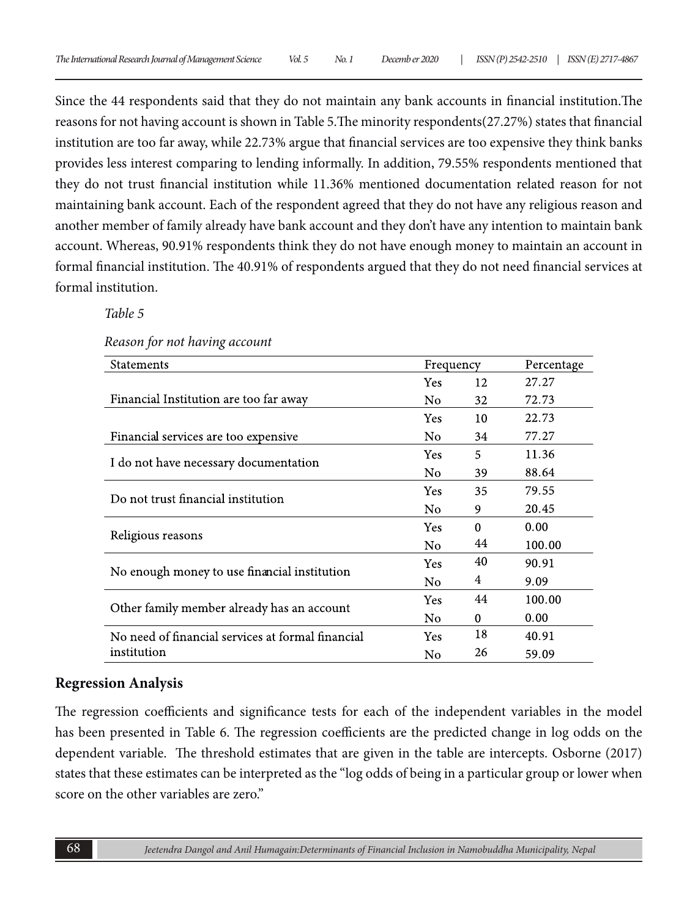Since the 44 respondents said that they do not maintain any bank accounts in financial institution.The reasons for not having account is shown in Table 5.The minority respondents(27.27%) states that financial institution are too far away, while 22.73% argue that financial services are too expensive they think banks provides less interest comparing to lending informally. In addition, 79.55% respondents mentioned that they do not trust financial institution while 11.36% mentioned documentation related reason for not maintaining bank account. Each of the respondent agreed that they do not have any religious reason and another member of family already have bank account and they don't have any intention to maintain bank account. Whereas, 90.91% respondents think they do not have enough money to maintain an account in formal financial institution. The 40.91% of respondents argued that they do not need financial services at formal institution.

*Table 5*

*Reason for not having account*

| Statements                                        | Frequency  |          | Percentage |
|---------------------------------------------------|------------|----------|------------|
|                                                   | <b>Yes</b> | 12       | 27.27      |
| Financial Institution are too far away            | No         | 32       | 72.73      |
|                                                   | Yes        | 10       | 22.73      |
| Financial services are too expensive              | No.        | 34       | 77.27      |
|                                                   | Yes        | 5        | 11.36      |
| I do not have necessary documentation             | No         | 39       | 88.64      |
| Do not trust financial institution                | Yes        | 35       | 79.55      |
|                                                   | No         | 9        | 20.45      |
|                                                   | Yes        | $\Omega$ | 0.00       |
| Religious reasons                                 | No         | 44       | 100.00     |
|                                                   | Yes        | 40       | 90.91      |
| No enough money to use financial institution      | No         | 4        | 9.09       |
|                                                   | Yes        | 44       | 100.00     |
| Other family member already has an account        | No         | $\theta$ | 0.00       |
| No need of financial services at formal financial | Yes        | 18       | 40.91      |
| institution                                       | No         | 26       | 59.09      |

#### **Regression Analysis**

The regression coefficients and significance tests for each of the independent variables in the model has been presented in Table 6. The regression coefficients are the predicted change in log odds on the dependent variable. The threshold estimates that are given in the table are intercepts. Osborne (2017) states that these estimates can be interpreted as the "log odds of being in a particular group or lower when score on the other variables are zero"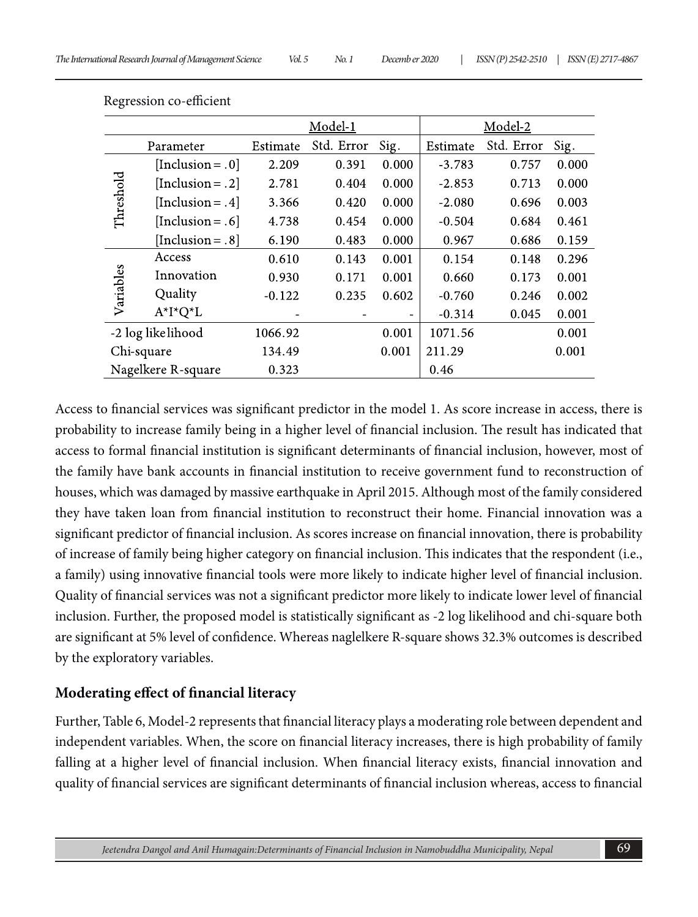|                    | Model-1             |          |            | Model-2 |          |            |       |
|--------------------|---------------------|----------|------------|---------|----------|------------|-------|
| Parameter          |                     | Estimate | Std. Error | Sig.    | Estimate | Std. Error | Sig.  |
|                    | [Inclusion = $.0$ ] | 2.209    | 0.391      | 0.000   | $-3.783$ | 0.757      | 0.000 |
|                    | [Inclusion = .2]    | 2.781    | 0.404      | 0.000   | $-2.853$ | 0.713      | 0.000 |
| Threshold          | [Inclusion = .4]    | 3.366    | 0.420      | 0.000   | $-2.080$ | 0.696      | 0.003 |
|                    | [Inclusion = $.6$ ] | 4.738    | 0.454      | 0.000   | $-0.504$ | 0.684      | 0.461 |
|                    | [Inclusion = $.8$ ] | 6.190    | 0.483      | 0.000   | 0.967    | 0.686      | 0.159 |
| Variables          | Access              | 0.610    | 0.143      | 0.001   | 0.154    | 0.148      | 0.296 |
|                    | Innovation          | 0.930    | 0.171      | 0.001   | 0.660    | 0.173      | 0.001 |
|                    | Quality             | $-0.122$ | 0.235      | 0.602   | $-0.760$ | 0.246      | 0.002 |
|                    | $A^*I^*Q^*L$        |          |            |         | $-0.314$ | 0.045      | 0.001 |
| -2 log likelihood  |                     | 1066.92  |            | 0.001   | 1071.56  |            | 0.001 |
| Chi-square         |                     | 134.49   |            | 0.001   | 211.29   |            | 0.001 |
| Nagelkere R-square |                     | 0.323    |            |         | 0.46     |            |       |

Regression co-efficient

Access to financial services was significant predictor in the model 1. As score increase in access, there is probability to increase family being in a higher level of financial inclusion. The result has indicated that access to formal financial institution is significant determinants of financial inclusion, however, most of the family have bank accounts in financial institution to receive government fund to reconstruction of houses, which was damaged by massive earthquake in April 2015. Although most of the family considered they have taken loan from financial institution to reconstruct their home. Financial innovation was a significant predictor of financial inclusion. As scores increase on financial innovation, there is probability of increase of family being higher category on financial inclusion. This indicates that the respondent (i.e., a family) using innovative financial tools were more likely to indicate higher level of financial inclusion. Quality of financial services was not a significant predictor more likely to indicate lower level of financial inclusion. Further, the proposed model is statistically significant as -2 log likelihood and chi-square both are significant at 5% level of confidence. Whereas naglelkere R-square shows 32.3% outcomes is described by the exploratory variables.

#### **Moderating effect of financial literacy**

Further, Table 6, Model-2 represents that financial literacy plays a moderating role between dependent and independent variables. When, the score on financial literacy increases, there is high probability of family falling at a higher level of financial inclusion. When financial literacy exists, financial innovation and quality of financial services are significant determinants of financial inclusion whereas, access to financial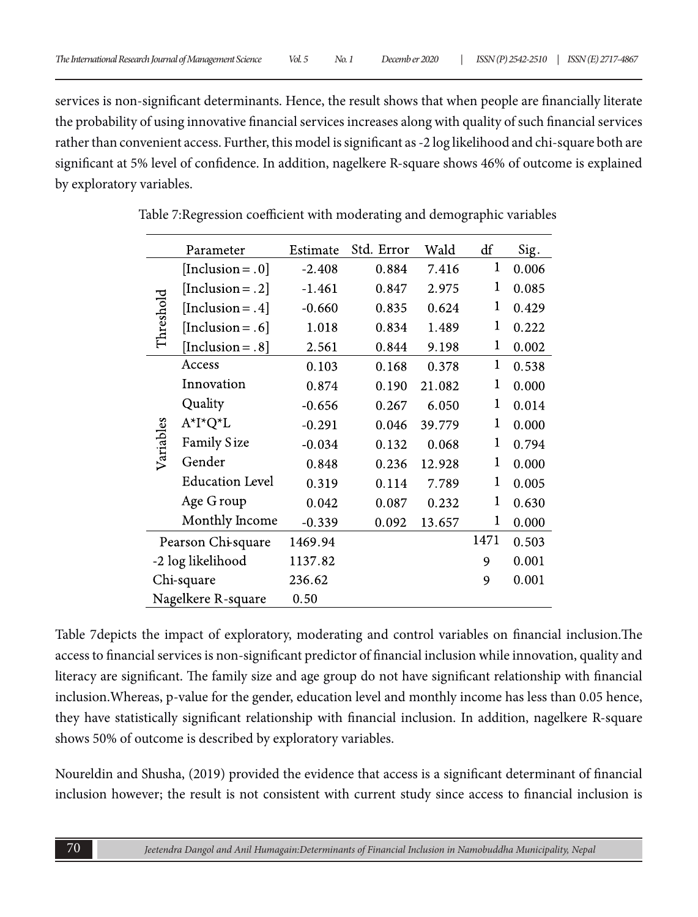services is non-significant determinants. Hence, the result shows that when people are financially literate the probability of using innovative financial services increases along with quality of such financial services rather than convenient access. Further, this model is significant as -2 log likelihood and chi-square both are significant at 5% level of confidence. In addition, nagelkere R-square shows 46% of outcome is explained by exploratory variables.

|                    | Parameter                      | Estimate | Std. Error | Wald   | df          | Sig.  |
|--------------------|--------------------------------|----------|------------|--------|-------------|-------|
| Threshold          | [Inclusion = $.0$ ]            | $-2.408$ | 0.884      | 7.416  | 1           | 0.006 |
|                    | [Inclusion = .2]               | $-1.461$ | 0.847      | 2.975  | 1           | 0.085 |
|                    | [Inclusion = .4]               | $-0.660$ | 0.835      | 0.624  | 1           | 0.429 |
|                    | [Inclusion = $.6$ ]            | 1.018    | 0.834      | 1.489  | 1           | 0.222 |
|                    | [Inclusion = $.8$ ]            | 2.561    | 0.844      | 9.198  | 1           | 0.002 |
|                    | Access                         | 0.103    | 0.168      | 0.378  | $\mathbf 1$ | 0.538 |
|                    | Innovation                     | 0.874    | 0.190      | 21.082 | 1           | 0.000 |
|                    | Quality                        | $-0.656$ | 0.267      | 6.050  | 1           | 0.014 |
|                    | $A^{\star}I^{\star}Q^{\star}L$ | $-0.291$ | 0.046      | 39.779 | 1           | 0.000 |
| Variables          | Family Size                    | $-0.034$ | 0.132      | 0.068  | 1           | 0.794 |
|                    | Gender                         | 0.848    | 0.236      | 12.928 | 1           | 0.000 |
|                    | <b>Education Level</b>         | 0.319    | 0.114      | 7.789  | 1           | 0.005 |
|                    | Age G roup                     | 0.042    | 0.087      | 0.232  | 1           | 0.630 |
|                    | Monthly Income                 | $-0.339$ | 0.092      | 13.657 | 1           | 0.000 |
| Pearson Chi-square |                                | 1469.94  |            |        | 1471        | 0.503 |
| -2 log likelihood  |                                | 1137.82  |            |        | 9           | 0.001 |
| Chi-square         |                                | 236.62   |            |        | 9           | 0.001 |
| Nagelkere R-square |                                | 0.50     |            |        |             |       |

Table 7:Regression coefficient with moderating and demographic variables

Table 7depicts the impact of exploratory, moderating and control variables on financial inclusion.The access to financial services is non-significant predictor of financial inclusion while innovation, quality and literacy are significant. The family size and age group do not have significant relationship with financial inclusion.Whereas, p-value for the gender, education level and monthly income has less than 0.05 hence, they have statistically significant relationship with financial inclusion. In addition, nagelkere R-square shows 50% of outcome is described by exploratory variables.

Noureldin and Shusha, (2019) provided the evidence that access is a significant determinant of financial inclusion however; the result is not consistent with current study since access to financial inclusion is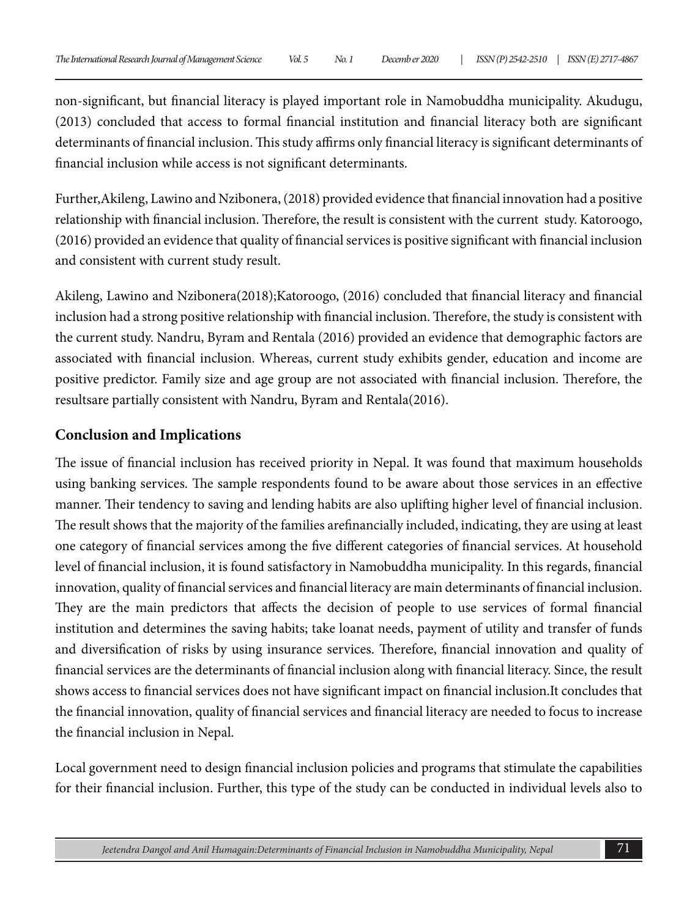non-significant, but financial literacy is played important role in Namobuddha municipality. Akudugu, (2013) concluded that access to formal financial institution and financial literacy both are significant determinants of financial inclusion. This study affirms only financial literacy is significant determinants of financial inclusion while access is not significant determinants.

Further,Akileng, Lawino and Nzibonera, (2018) provided evidence that financial innovation had a positive relationship with financial inclusion. Therefore, the result is consistent with the current study. Katoroogo, (2016) provided an evidence that quality of financial services is positive significant with financial inclusion and consistent with current study result.

Akileng, Lawino and Nzibonera(2018);Katoroogo, (2016) concluded that financial literacy and financial inclusion had a strong positive relationship with financial inclusion. Therefore, the study is consistent with the current study. Nandru, Byram and Rentala (2016) provided an evidence that demographic factors are associated with financial inclusion. Whereas, current study exhibits gender, education and income are positive predictor. Family size and age group are not associated with financial inclusion. Therefore, the resultsare partially consistent with Nandru, Byram and Rentala(2016).

#### **Conclusion and Implications**

The issue of financial inclusion has received priority in Nepal. It was found that maximum households using banking services. The sample respondents found to be aware about those services in an effective manner. Their tendency to saving and lending habits are also uplifting higher level of financial inclusion. The result shows that the majority of the families arefinancially included, indicating, they are using at least one category of financial services among the five different categories of financial services. At household level of financial inclusion, it is found satisfactory in Namobuddha municipality. In this regards, financial innovation, quality of financial services and financial literacy are main determinants of financial inclusion. They are the main predictors that affects the decision of people to use services of formal financial institution and determines the saving habits; take loanat needs, payment of utility and transfer of funds and diversification of risks by using insurance services. Therefore, financial innovation and quality of financial services are the determinants of financial inclusion along with financial literacy. Since, the result shows access to financial services does not have significant impact on financial inclusion.It concludes that the financial innovation, quality of financial services and financial literacy are needed to focus to increase the financial inclusion in Nepal.

Local government need to design financial inclusion policies and programs that stimulate the capabilities for their financial inclusion. Further, this type of the study can be conducted in individual levels also to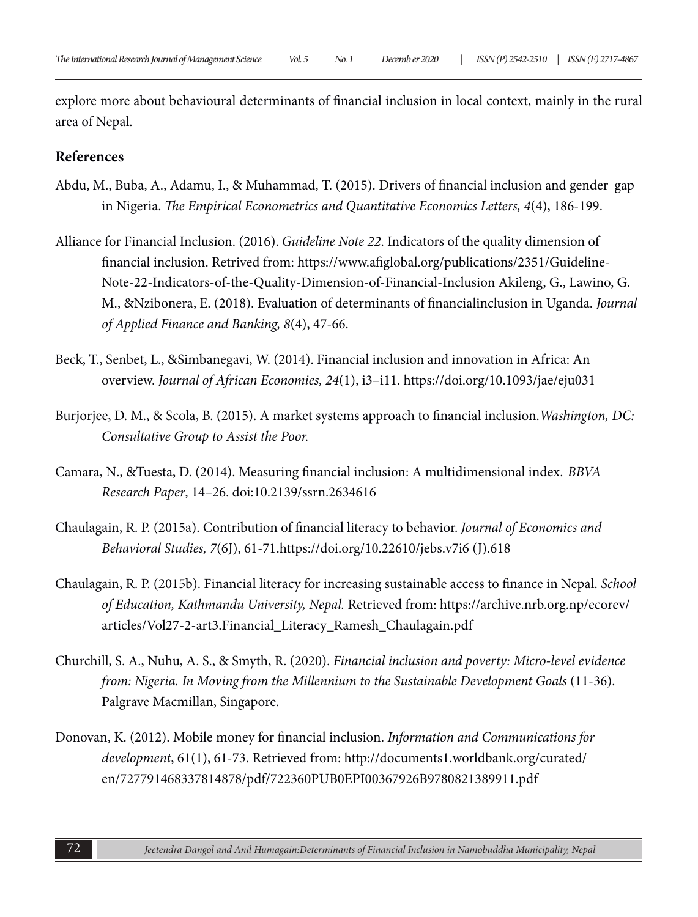explore more about behavioural determinants of financial inclusion in local context, mainly in the rural area of Nepal.

#### **References**

- Abdu, M., Buba, A., Adamu, I., & Muhammad, T. (2015). Drivers of financial inclusion and gender gap in Nigeria. *The Empirical Econometrics and Quantitative Economics Letters, 4*(4), 186-199.
- Alliance for Financial Inclusion. (2016). *Guideline Note 22*. Indicators of the quality dimension of financial inclusion. Retrived from: https://www.afiglobal.org/publications/2351/Guideline-Note-22-Indicators-of-the-Quality-Dimension-of-Financial-Inclusion Akileng, G., Lawino, G. M., &Nzibonera, E. (2018). Evaluation of determinants of financialinclusion in Uganda. *Journal of Applied Finance and Banking, 8*(4), 47-66.
- Beck, T., Senbet, L., &Simbanegavi, W. (2014). Financial inclusion and innovation in Africa: An overview. *Journal of African Economies, 24*(1), i3–i11. https://doi.org/10.1093/jae/eju031
- Burjorjee, D. M., & Scola, B. (2015). A market systems approach to financial inclusion.*Washington, DC: Consultative Group to Assist the Poor.*
- Camara, N., &Tuesta, D. (2014). Measuring financial inclusion: A multidimensional index. *BBVA Research Paper*, 14–26. doi:10.2139/ssrn.2634616
- Chaulagain, R. P. (2015a). Contribution of financial literacy to behavior. *Journal of Economics and Behavioral Studies, 7*(6J), 61-71.https://doi.org/10.22610/jebs.v7i6 (J).618
- Chaulagain, R. P. (2015b). Financial literacy for increasing sustainable access to finance in Nepal. *School of Education, Kathmandu University, Nepal.* Retrieved from: https://archive.nrb.org.np/ecorev/ articles/Vol27-2-art3.Financial\_Literacy\_Ramesh\_Chaulagain.pdf
- Churchill, S. A., Nuhu, A. S., & Smyth, R. (2020). *Financial inclusion and poverty: Micro-level evidence from: Nigeria. In Moving from the Millennium to the Sustainable Development Goals* (11-36). Palgrave Macmillan, Singapore.
- Donovan, K. (2012). Mobile money for financial inclusion. *Information and Communications for development*, 61(1), 61-73. Retrieved from: http://documents1.worldbank.org/curated/ en/727791468337814878/pdf/722360PUB0EPI00367926B9780821389911.pdf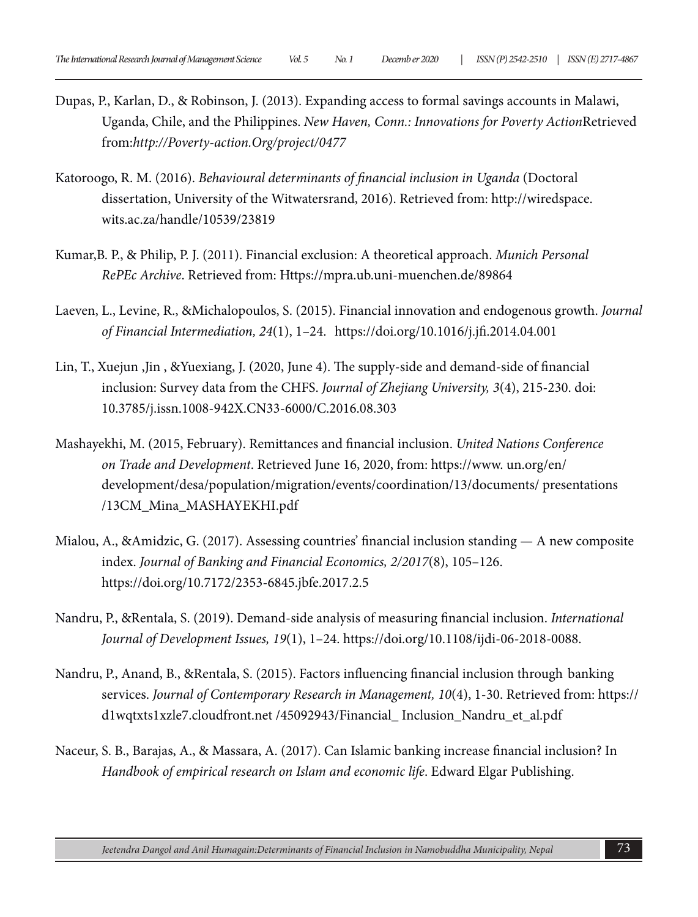- Dupas, P., Karlan, D., & Robinson, J. (2013). Expanding access to formal savings accounts in Malawi, Uganda, Chile, and the Philippines. *New Haven, Conn.: Innovations for Poverty Action*Retrieved from:*http://Poverty-action.Org/project/0477*
- Katoroogo, R. M. (2016). *Behavioural determinants of financial inclusion in Uganda* (Doctoral dissertation, University of the Witwatersrand, 2016). Retrieved from: http://wiredspace. wits.ac.za/handle/10539/23819
- Kumar,B. P., & Philip, P. J. (2011). Financial exclusion: A theoretical approach. *Munich Personal RePEc Archive*. Retrieved from: Https://mpra.ub.uni-muenchen.de/89864
- Laeven, L., Levine, R., &Michalopoulos, S. (2015). Financial innovation and endogenous growth. *Journal of Financial Intermediation, 24*(1), 1–24. https://doi.org/10.1016/j.jfi.2014.04.001
- Lin, T., Xuejun ,Jin , &Yuexiang, J. (2020, June 4). The supply-side and demand-side of financial inclusion: Survey data from the CHFS. *Journal of Zhejiang University, 3*(4), 215-230. doi: 10.3785/j.issn.1008-942X.CN33-6000/C.2016.08.303
- Mashayekhi, M. (2015, February). Remittances and financial inclusion. *United Nations Conference on Trade and Development*. Retrieved June 16, 2020, from: https://www. un.org/en/ development/desa/population/migration/events/coordination/13/documents/ presentations /13CM\_Mina\_MASHAYEKHI.pdf
- Mialou, A., &Amidzic, G. (2017). Assessing countries' financial inclusion standing A new composite index. *Journal of Banking and Financial Economics, 2/2017*(8), 105–126. https://doi.org/10.7172/2353-6845.jbfe.2017.2.5
- Nandru, P., &Rentala, S. (2019). Demand-side analysis of measuring financial inclusion. *International Journal of Development Issues, 19*(1), 1–24. https://doi.org/10.1108/ijdi-06-2018-0088.
- Nandru, P., Anand, B., &Rentala, S. (2015). Factors influencing financial inclusion through banking services. *Journal of Contemporary Research in Management, 10*(4), 1-30. Retrieved from: https:// d1wqtxts1xzle7.cloudfront.net /45092943/Financial\_ Inclusion\_Nandru\_et\_al.pdf
- Naceur, S. B., Barajas, A., & Massara, A. (2017). Can Islamic banking increase financial inclusion? In *Handbook of empirical research on Islam and economic life*. Edward Elgar Publishing.